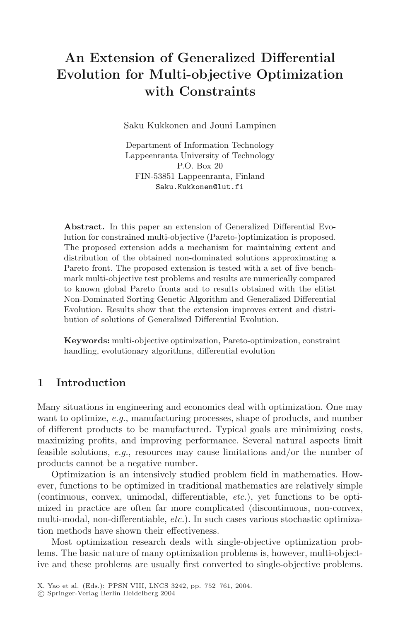# An Extension of Generalized Differential Evolution for Multi-objective Optimization with Constraints

Saku Kukkonen and Jouni Lampinen

Department of Information Technology Lappeenranta University of Technology P.O. Box 20 FIN-53851 Lappeenranta, Finland Saku.Kukkonen@lut.fi

Abstract. In this paper an extension of Generalized Differential Evolution for constrained multi-objective (Pareto-)optimization is proposed. The proposed extension adds a mechanism for maintaining extent and distribution of the obtained non-dominated solutions approximating a Pareto front. The proposed extension is tested with a set of five benchmark multi-objective test problems and results are numerically compared to known global Pareto fronts and to results obtained with the elitist Non-Dominated Sorting Genetic Algorithm and Generalized Differential Evolution. Results show that the extension improves extent and distribution of solutions of Generalized Differential Evolution.

Keywords: multi-objective optimization, Pareto-optimization, constraint handling, evolutionary algorithms, differential evolution

# 1 Introduction

Many situations in engineering and economics deal with optimization. One may want to optimize, *e.g.*, manufacturing processes, shape of products, and number of different products to be manufactured. Typical goals are minimizing costs, maximizing profits, and improving performance. Several natural aspects limit feasible solutions, *e.g.*, resources may cause limitations and/or the number of products cannot be a negative number.

Optimization is an intensively studied problem field in mathematics. However, functions to be optimized in traditional mathematics are relatively simple (continuous, convex, unimodal, differentiable, *etc.*), yet functions to be optimized in practice are often far more complicated (discontinuous, non-convex, multi-modal, non-differentiable, *etc.*). In such cases various stochastic optimization methods have shown their effectiveness.

Most optimization research deals with single-objective optimization problems. The basic nature of many optimization problems is, however, multi-objective and these problems are usually first converted to single-objective problems.

<sup>⃝</sup>c Springer-Verlag Berlin Heidelberg 2004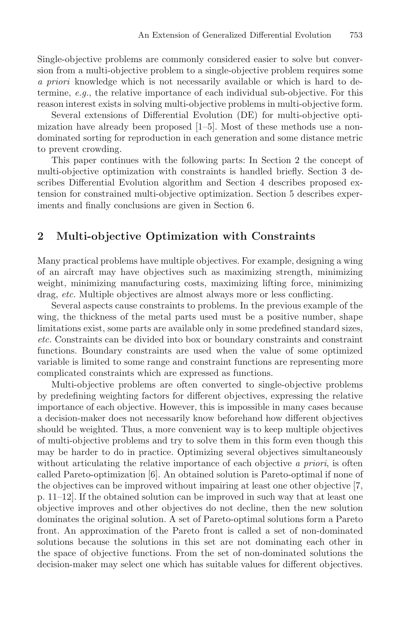Single-objective problems are commonly considered easier to solve but conversion from a multi-objective problem to a single-objective problem requires some *a priori* knowledge which is not necessarily available or which is hard to determine, *e.g.*, the relative importance of each individual sub-objective. For this reason interest exists in solving multi-objective problems in multi-objective form.

Several extensions of Differential Evolution (DE) for multi-objective optimization have already been proposed [1–5]. Most of these methods use a nondominated sorting for reproduction in each generation and some distance metric to prevent crowding.

This paper continues with the following parts: In Section 2 the concept of multi-objective optimization with constraints is handled briefly. Section 3 describes Differential Evolution algorithm and Section 4 describes proposed extension for constrained multi-objective optimization. Section 5 describes experiments and finally conclusions are given in Section 6.

## 2 Multi-objective Optimization with Constraints

Many practical problems have multiple objectives. For example, designing a wing of an aircraft may have objectives such as maximizing strength, minimizing weight, minimizing manufacturing costs, maximizing lifting force, minimizing drag, *etc.* Multiple objectives are almost always more or less conflicting.

Several aspects cause constraints to problems. In the previous example of the wing, the thickness of the metal parts used must be a positive number, shape limitations exist, some parts are available only in some predefined standard sizes, *etc.* Constraints can be divided into box or boundary constraints and constraint functions. Boundary constraints are used when the value of some optimized variable is limited to some range and constraint functions are representing more complicated constraints which are expressed as functions.

Multi-objective problems are often converted to single-objective problems by predefining weighting factors for different objectives, expressing the relative importance of each objective. However, this is impossible in many cases because a decision-maker does not necessarily know beforehand how different objectives should be weighted. Thus, a more convenient way is to keep multiple objectives of multi-objective problems and try to solve them in this form even though this may be harder to do in practice. Optimizing several objectives simultaneously without articulating the relative importance of each objective *a priori*, is often called Pareto-optimization [6]. An obtained solution is Pareto-optimal if none of the objectives can be improved without impairing at least one other objective [7, p. 11–12]. If the obtained solution can be improved in such way that at least one objective improves and other objectives do not decline, then the new solution dominates the original solution. A set of Pareto-optimal solutions form a Pareto front. An approximation of the Pareto front is called a set of non-dominated solutions because the solutions in this set are not dominating each other in the space of objective functions. From the set of non-dominated solutions the decision-maker may select one which has suitable values for different objectives.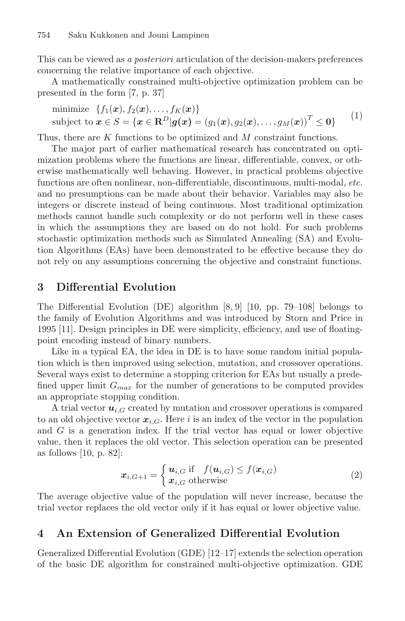This can be viewed as *a posteriori* articulation of the decision-makers preferences concerning the relative importance of each objective.

A mathematically constrained multi-objective optimization problem can be presented in the form [7, p. 37]

minimize 
$$
\{f_1(\boldsymbol{x}), f_2(\boldsymbol{x}), \dots, f_K(\boldsymbol{x})\}
$$
  
subject to  $\boldsymbol{x} \in S = \{\boldsymbol{x} \in \mathbb{R}^D | \boldsymbol{g}(\boldsymbol{x}) = (g_1(\boldsymbol{x}), g_2(\boldsymbol{x}), \dots, g_M(\boldsymbol{x}))^T \leq \mathbf{0}\}$  (1)

Thus, there are *K* functions to be optimized and *M* constraint functions.

The major part of earlier mathematical research has concentrated on optimization problems where the functions are linear, differentiable, convex, or otherwise mathematically well behaving. However, in practical problems objective functions are often nonlinear, non-differentiable, discontinuous, multi-modal, *etc.* and no presumptions can be made about their behavior. Variables may also be integers or discrete instead of being continuous. Most traditional optimization methods cannot handle such complexity or do not perform well in these cases in which the assumptions they are based on do not hold. For such problems stochastic optimization methods such as Simulated Annealing (SA) and Evolution Algorithms (EAs) have been demonstrated to be effective because they do not rely on any assumptions concerning the objective and constraint functions.

#### 3 Differential Evolution

The Differential Evolution (DE) algorithm [8, 9] [10, pp. 79–108] belongs to the family of Evolution Algorithms and was introduced by Storn and Price in 1995 [11]. Design principles in DE were simplicity, efficiency, and use of floatingpoint encoding instead of binary numbers.

Like in a typical EA, the idea in DE is to have some random initial population which is then improved using selection, mutation, and crossover operations. Several ways exist to determine a stopping criterion for EAs but usually a predefined upper limit *Gmax* for the number of generations to be computed provides an appropriate stopping condition.

A trial vector  $u_{i,G}$  created by mutation and crossover operations is compared to an old objective vector  $x_{i,G}$ . Here *i* is an index of the vector in the population and *G* is a generation index. If the trial vector has equal or lower objective value, then it replaces the old vector. This selection operation can be presented as follows [10, p. 82]:

$$
\boldsymbol{x}_{i,G+1} = \begin{cases} \boldsymbol{u}_{i,G} \text{ if } f(\boldsymbol{u}_{i,G}) \le f(\boldsymbol{x}_{i,G}) \\ \boldsymbol{x}_{i,G} \text{ otherwise} \end{cases}
$$
(2)

The average objective value of the population will never increase, because the trial vector replaces the old vector only if it has equal or lower objective value.

# 4 An Extension of Generalized Differential Evolution

Generalized Differential Evolution (GDE) [12–17] extends the selection operation of the basic DE algorithm for constrained multi-objective optimization. GDE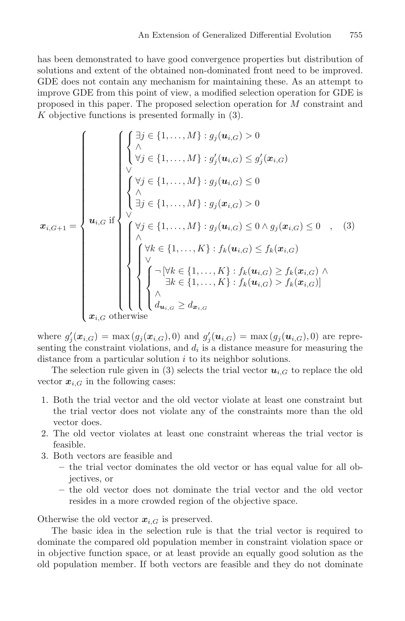has been demonstrated to have good convergence properties but distribution of solutions and extent of the obtained non-dominated front need to be improved. GDE does not contain any mechanism for maintaining these. As an attempt to improve GDE from this point of view, a modified selection operation for GDE is proposed in this paper. The proposed selection operation for *M* constraint and *K* objective functions is presented formally in (3).

$$
\boldsymbol{x}_{i,G+1} = \begin{cases}\n\begin{cases}\n\frac{1}{2}j \in \{1, \ldots, M\} : g_j(\boldsymbol{u}_{i,G}) > 0 \\
\sqrt{\gamma} \in \{1, \ldots, M\} : g'_j(\boldsymbol{u}_{i,G}) \leq g'_j(\boldsymbol{x}_{i,G}) \\
\sqrt{\gamma} \in \{1, \ldots, M\} : g_j(\boldsymbol{u}_{i,G}) \leq 0 \\
\frac{\lambda}{2}j \in \{1, \ldots, M\} : g_j(\boldsymbol{x}_{i,G}) > 0\n\end{cases} \\
\mathbf{u}_{i,G} \text{ if }\n\begin{cases}\n\forall j \in \{1, \ldots, M\} : g_j(\boldsymbol{u}_{i,G}) \leq 0 \land g_j(\boldsymbol{x}_{i,G}) \leq 0 \\
\lambda \\
\sqrt{\gamma} \in \{1, \ldots, K\} : f_k(\boldsymbol{u}_{i,G}) \leq f_k(\boldsymbol{x}_{i,G}) \\
\sqrt{\gamma} \in \{1, \ldots, K\} : f_k(\boldsymbol{u}_{i,G}) \geq f_k(\boldsymbol{x}_{i,G}) \\
\frac{\lambda}{2}k \in \{1, \ldots, K\} : f_k(\boldsymbol{u}_{i,G}) > f_k(\boldsymbol{x}_{i,G})\n\end{cases} (3)\n\end{cases}
$$
\n
$$
\boldsymbol{x}_{i,G} \text{ otherwise}
$$

where  $g'_{j}(\boldsymbol{x}_{i,G}) = \max(g_j(\boldsymbol{x}_{i,G}), 0)$  and  $g'_{j}(\boldsymbol{u}_{i,G}) = \max(g_j(\boldsymbol{u}_{i,G}), 0)$  are representing the constraint violations, and  $d_i$  is a distance measure for measuring the distance from a particular solution *i* to its neighbor solutions.

The selection rule given in (3) selects the trial vector  $u_{i,G}$  to replace the old vector  $x_{i,G}$  in the following cases:

- 1. Both the trial vector and the old vector violate at least one constraint but the trial vector does not violate any of the constraints more than the old vector does.
- 2. The old vector violates at least one constraint whereas the trial vector is feasible.
- 3. Both vectors are feasible and
	- the trial vector dominates the old vector or has equal value for all objectives, or
	- the old vector does not dominate the trial vector and the old vector resides in a more crowded region of the objective space.

Otherwise the old vector  $x_{i,G}$  is preserved.

The basic idea in the selection rule is that the trial vector is required to dominate the compared old population member in constraint violation space or in objective function space, or at least provide an equally good solution as the old population member. If both vectors are feasible and they do not dominate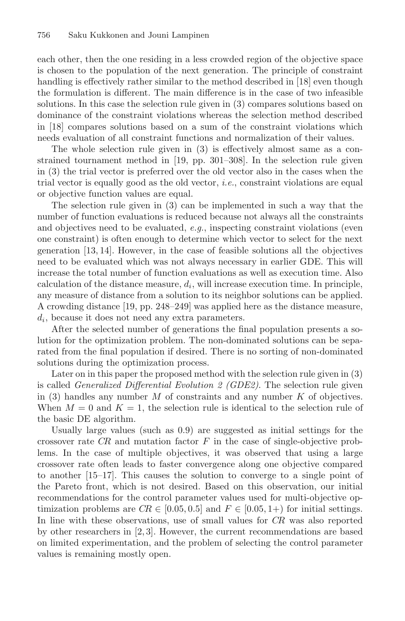each other, then the one residing in a less crowded region of the objective space is chosen to the population of the next generation. The principle of constraint handling is effectively rather similar to the method described in [18] even though the formulation is different. The main difference is in the case of two infeasible solutions. In this case the selection rule given in (3) compares solutions based on dominance of the constraint violations whereas the selection method described in [18] compares solutions based on a sum of the constraint violations which needs evaluation of all constraint functions and normalization of their values.

The whole selection rule given in (3) is effectively almost same as a constrained tournament method in [19, pp. 301–308]. In the selection rule given in (3) the trial vector is preferred over the old vector also in the cases when the trial vector is equally good as the old vector, *i.e.*, constraint violations are equal or objective function values are equal.

The selection rule given in (3) can be implemented in such a way that the number of function evaluations is reduced because not always all the constraints and objectives need to be evaluated, *e.g.*, inspecting constraint violations (even one constraint) is often enough to determine which vector to select for the next generation [13, 14]. However, in the case of feasible solutions all the objectives need to be evaluated which was not always necessary in earlier GDE. This will increase the total number of function evaluations as well as execution time. Also calculation of the distance measure, *di*, will increase execution time. In principle, any measure of distance from a solution to its neighbor solutions can be applied. A crowding distance [19, pp. 248–249] was applied here as the distance measure, *di*, because it does not need any extra parameters.

After the selected number of generations the final population presents a solution for the optimization problem. The non-dominated solutions can be separated from the final population if desired. There is no sorting of non-dominated solutions during the optimization process.

Later on in this paper the proposed method with the selection rule given in (3) is called *Generalized Di*ff*erential Evolution 2 (GDE2)*. The selection rule given in (3) handles any number *M* of constraints and any number *K* of objectives. When  $M = 0$  and  $K = 1$ , the selection rule is identical to the selection rule of the basic DE algorithm.

Usually large values (such as 0.9) are suggested as initial settings for the crossover rate *CR* and mutation factor *F* in the case of single-objective problems. In the case of multiple objectives, it was observed that using a large crossover rate often leads to faster convergence along one objective compared to another [15–17]. This causes the solution to converge to a single point of the Pareto front, which is not desired. Based on this observation, our initial recommendations for the control parameter values used for multi-objective optimization problems are  $CR \in [0.05, 0.5]$  and  $F \in [0.05, 1+)$  for initial settings. In line with these observations, use of small values for *CR* was also reported by other researchers in [2, 3]. However, the current recommendations are based on limited experimentation, and the problem of selecting the control parameter values is remaining mostly open.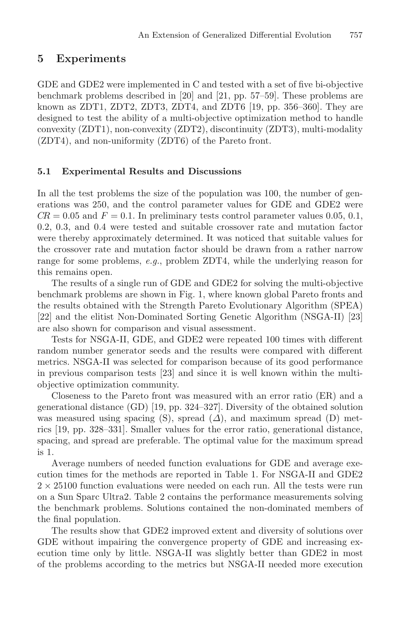# 5 Experiments

GDE and GDE2 were implemented in C and tested with a set of five bi-objective benchmark problems described in [20] and [21, pp. 57–59]. These problems are known as ZDT1, ZDT2, ZDT3, ZDT4, and ZDT6 [19, pp. 356–360]. They are designed to test the ability of a multi-objective optimization method to handle convexity (ZDT1), non-convexity (ZDT2), discontinuity (ZDT3), multi-modality (ZDT4), and non-uniformity (ZDT6) of the Pareto front.

#### 5.1 Experimental Results and Discussions

In all the test problems the size of the population was 100, the number of generations was 250, and the control parameter values for GDE and GDE2 were  $CR = 0.05$  and  $F = 0.1$ . In preliminary tests control parameter values 0.05, 0.1, 0.2, 0.3, and 0.4 were tested and suitable crossover rate and mutation factor were thereby approximately determined. It was noticed that suitable values for the crossover rate and mutation factor should be drawn from a rather narrow range for some problems, *e.g.*, problem ZDT4, while the underlying reason for this remains open.

The results of a single run of GDE and GDE2 for solving the multi-objective benchmark problems are shown in Fig. 1, where known global Pareto fronts and the results obtained with the Strength Pareto Evolutionary Algorithm (SPEA) [22] and the elitist Non-Dominated Sorting Genetic Algorithm (NSGA-II) [23] are also shown for comparison and visual assessment.

Tests for NSGA-II, GDE, and GDE2 were repeated 100 times with different random number generator seeds and the results were compared with different metrics. NSGA-II was selected for comparison because of its good performance in previous comparison tests [23] and since it is well known within the multiobjective optimization community.

Closeness to the Pareto front was measured with an error ratio (ER) and a generational distance (GD) [19, pp. 324–327]. Diversity of the obtained solution was measured using spacing (S), spread  $(\Delta)$ , and maximum spread (D) metrics [19, pp. 328–331]. Smaller values for the error ratio, generational distance, spacing, and spread are preferable. The optimal value for the maximum spread is 1.

Average numbers of needed function evaluations for GDE and average execution times for the methods are reported in Table 1. For NSGA-II and GDE2  $2 \times 25100$  function evaluations were needed on each run. All the tests were run on a Sun Sparc Ultra2. Table 2 contains the performance measurements solving the benchmark problems. Solutions contained the non-dominated members of the final population.

The results show that GDE2 improved extent and diversity of solutions over GDE without impairing the convergence property of GDE and increasing execution time only by little. NSGA-II was slightly better than GDE2 in most of the problems according to the metrics but NSGA-II needed more execution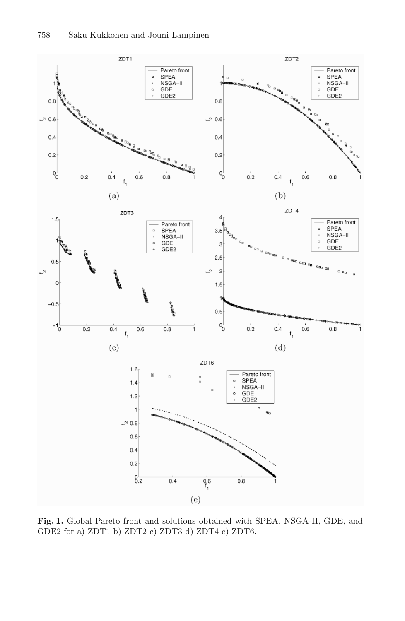

Fig. 1. Global Pareto front and solutions obtained with SPEA, NSGA-II, GDE, and GDE2 for a) ZDT1 b) ZDT2 c) ZDT3 d) ZDT4 e) ZDT6.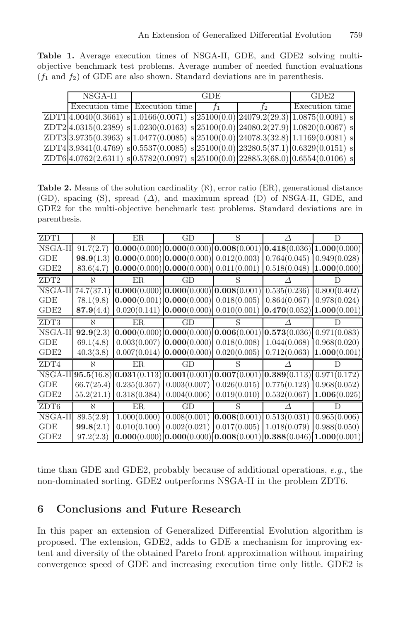Table 1. Average execution times of NSGA-II, GDE, and GDE2 solving multiobjective benchmark test problems. Average number of needed function evaluations  $(f_1 \text{ and } f_2)$  of GDE are also shown. Standard deviations are in parenthesis.

| NSGA-II |                               | GDE2 |                                                                                            |
|---------|-------------------------------|------|--------------------------------------------------------------------------------------------|
|         | Execution time Execution time |      | Execution time                                                                             |
|         |                               |      | $ZDT1 4.0040(0.3661)$ s $1.0166(0.0071)$ s $25100(0.0)$ $24079.2(29.3)$ $1.0875(0.0091)$ s |
|         |                               |      | $ZDT2 4.0315(0.2389)$ s $ 1.0230(0.0163)$ s $ 25100(0.0) 24080.2(27.9) 1.0820(0.0067)$ s   |
|         |                               |      | ZDT3 3.9735(0.3963) $s 1.0477(0.0085)$ $s 25100(0.0) 24078.3(32.8) 1.1169(0.0081)$ $s $    |
|         |                               |      | ZDT4 $3.9341(0.4769)$ s $0.5537(0.0085)$ s $25100(0.0)$ $23280.5(37.1)$ $0.6329(0.0151)$ s |
|         |                               |      | $ZDT6 4.0762(2.6311)$ s $0.5782(0.0097)$ s $25100(0.0)$ $22885.3(68.0)$ $0.6554(0.0106)$ s |

**Table 2.** Means of the solution cardinality  $(\aleph)$ , error ratio  $(ER)$ , generational distance (GD), spacing (S), spread  $(\Delta)$ , and maximum spread (D) of NSGA-II, GDE, and GDE2 for the multi-objective benchmark test problems. Standard deviations are in parenthesis.

| ZDT1             | X          | ER           | GD | S                                                                                                                                                        | D |
|------------------|------------|--------------|----|----------------------------------------------------------------------------------------------------------------------------------------------------------|---|
| NSGA-II          | 91.7(2.7)  |              |    | $\left[0.000(0.000)\right]0.000(0.000)\left[0.008(0.001)\right]0.418(0.036)\left[1.000(0.000)\right]$                                                    |   |
| <b>GDE</b>       | 98.9(1.3)  |              |    | <b>0.000</b> (0.000) <b>0.000</b> (0.000) <b>0.012(0.003) <b>0.764(0.045) 0.949(0.028)</b></b>                                                           |   |
| GDE <sub>2</sub> | 83.6(4.7)  |              |    | $\vert 0.000(0.000) \vert 0.000(0.000) \vert 0.011(0.001) \vert 0.518(0.048) \vert 1.000(0.000)$                                                         |   |
| ZDT2             | R          | ER.          | GD | S                                                                                                                                                        |   |
| NSGA-II          | 74.7(37.1) |              |    | $\left 0.000(0.000)\right 0.000(0.000)\left 0.008(0.001)\right 0.535(0.236)\left 0.800(0.402)\right $                                                    |   |
| <b>GDE</b>       | 78.1(9.8)  |              |    | <b>0.000</b> (0.001) <b>0.000</b> (0.000) <b>0.018(0.005) 0.864(0.067) 0.978(0.024)</b>                                                                  |   |
| GDE <sub>2</sub> | 87.9(4.4)  |              |    | $0.020(0.141)$ $\vert 0.000(0.000) \vert 0.010(0.001) \vert 0.470(0.052) \vert 1.000(0.001)$                                                             |   |
| ZDT3             | K          | ER           | GD | S                                                                                                                                                        |   |
| NSGA-II          | 92.9(2.3)  |              |    | $\left[0.000(0.000)\right]0.000(0.000)\left[0.006(0.001)\right]0.573(0.036)\left[0.971(0.083)\right]$                                                    |   |
| GDE              | 69.1(4.8)  |              |    | $0.003(0.007)$ $\vert 0.000(0.000) \vert 0.018(0.008) \vert 1.044(0.068) \vert 0.968(0.020)$                                                             |   |
| GDE2             | 40.3(3.8)  |              |    | $0.007(0.014)$ $\vert 0.000(0.000) \vert 0.020(0.005)$ $\vert 0.712(0.063)$ $\vert 1.000(0.001) \vert 0.001(0.001)$                                      |   |
| ZDT4             | X          | ER.          | GD |                                                                                                                                                          |   |
| NSGA-II          |            |              |    | $\left  \left( \left( 95.5(16.8) \right) \right  0.031(0.113) \right  0.001(0.001) \left  0.007(0.001) \right  0.389(0.113) \left  0.971(0.172) \right $ |   |
| <b>GDE</b>       | 66.7(25.4) |              |    | $0.235(0.357)$ $0.003(0.007)$ $0.026(0.015)$ $0.775(0.123)$ $0.968(0.052)$                                                                               |   |
| GDE <sub>2</sub> | 55.2(21.1) | 0.318(0.384) |    | $0.004(0.006)$ $0.019(0.010)$ $0.532(0.067)$ $1.006(0.025)$                                                                                              |   |
| ZDT6             | R          | ER           | GD |                                                                                                                                                          |   |
| NSGA-II          | 89.5(2.9)  |              |    | $1.000(0.000)$ $0.008(0.001)$ $0.008(0.001)$ $0.513(0.031)$ $0.965(0.006)$                                                                               |   |
| <b>GDE</b>       | 99.8(2.1)  |              |    | $0.010(0.100)$ $0.002(0.021)$ $0.017(0.005)$ $1.018(0.079)$ $0.988(0.050)$                                                                               |   |
| GDE2             | 97.2(2.3)  |              |    | $\vert 0.000(0.000) \vert 0.000(0.000) \vert 0.008(0.001) \vert 0.388(0.046) \vert 1.000(0.001)$                                                         |   |

time than GDE and GDE2, probably because of additional operations, *e.g.*, the non-dominated sorting. GDE2 outperforms NSGA-II in the problem ZDT6.

# 6 Conclusions and Future Research

In this paper an extension of Generalized Differential Evolution algorithm is proposed. The extension, GDE2, adds to GDE a mechanism for improving extent and diversity of the obtained Pareto front approximation without impairing convergence speed of GDE and increasing execution time only little. GDE2 is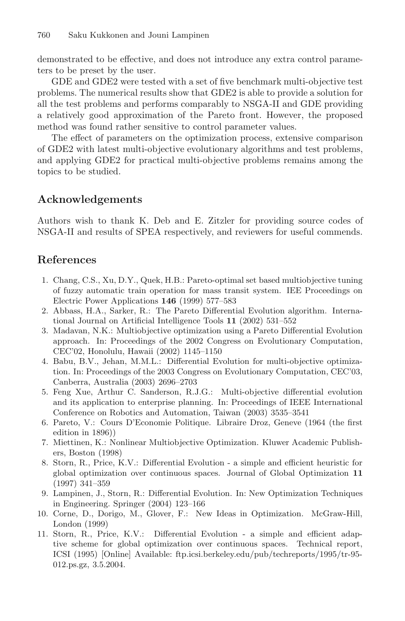demonstrated to be effective, and does not introduce any extra control parameters to be preset by the user.

GDE and GDE2 were tested with a set of five benchmark multi-objective test problems. The numerical results show that GDE2 is able to provide a solution for all the test problems and performs comparably to NSGA-II and GDE providing a relatively good approximation of the Pareto front. However, the proposed method was found rather sensitive to control parameter values.

The effect of parameters on the optimization process, extensive comparison of GDE2 with latest multi-objective evolutionary algorithms and test problems, and applying GDE2 for practical multi-objective problems remains among the topics to be studied.

#### Acknowledgements

Authors wish to thank K. Deb and E. Zitzler for providing source codes of NSGA-II and results of SPEA respectively, and reviewers for useful commends.

## References

- 1. Chang, C.S., Xu, D.Y., Quek, H.B.: Pareto-optimal set based multiobjective tuning of fuzzy automatic train operation for mass transit system. IEE Proceedings on Electric Power Applications 146 (1999) 577–583
- 2. Abbass, H.A., Sarker, R.: The Pareto Differential Evolution algorithm. International Journal on Artificial Intelligence Tools 11 (2002) 531–552
- 3. Madavan, N.K.: Multiobjective optimization using a Pareto Differential Evolution approach. In: Proceedings of the 2002 Congress on Evolutionary Computation, CEC'02, Honolulu, Hawaii (2002) 1145–1150
- 4. Babu, B.V., Jehan, M.M.L.: Differential Evolution for multi-objective optimization. In: Proceedings of the 2003 Congress on Evolutionary Computation, CEC'03, Canberra, Australia (2003) 2696–2703
- 5. Feng Xue, Arthur C. Sanderson, R.J.G.: Multi-objective differential evolution and its application to enterprise planning. In: Proceedings of IEEE International Conference on Robotics and Automation, Taiwan (2003) 3535–3541
- 6. Pareto, V.: Cours D'Economie Politique. Libraire Droz, Geneve (1964 (the first edition in 1896))
- 7. Miettinen, K.: Nonlinear Multiobjective Optimization. Kluwer Academic Publishers, Boston (1998)
- 8. Storn, R., Price, K.V.: Differential Evolution a simple and efficient heuristic for global optimization over continuous spaces. Journal of Global Optimization 11 (1997) 341–359
- 9. Lampinen, J., Storn, R.: Differential Evolution. In: New Optimization Techniques in Engineering. Springer (2004) 123–166
- 10. Corne, D., Dorigo, M., Glover, F.: New Ideas in Optimization. McGraw-Hill, London (1999)
- 11. Storn, R., Price, K.V.: Differential Evolution a simple and efficient adaptive scheme for global optimization over continuous spaces. Technical report, ICSI (1995) [Online] Available: ftp.icsi.berkeley.edu/pub/techreports/1995/tr-95- 012.ps.gz, 3.5.2004.